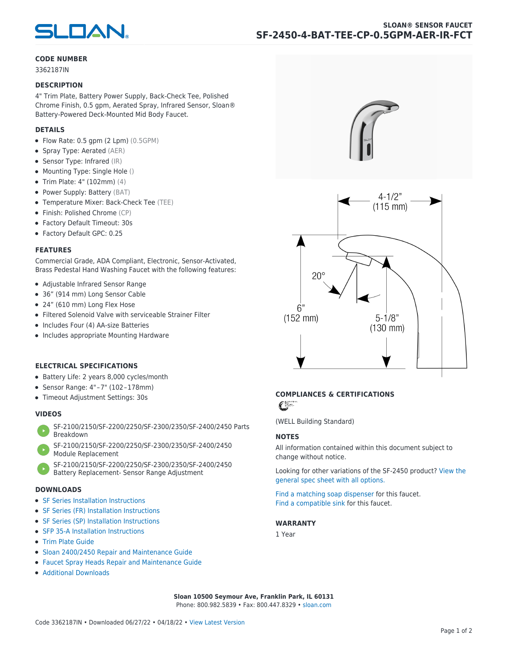

#### **CODE NUMBER**

3362187IN

#### **DESCRIPTION**

4" Trim Plate, Battery Power Supply, Back-Check Tee, Polished Chrome Finish, 0.5 gpm, Aerated Spray, Infrared Sensor, Sloan® Battery-Powered Deck-Mounted Mid Body Faucet.

#### **DETAILS**

- Flow Rate: 0.5 gpm (2 Lpm) (0.5GPM)
- Spray Type: Aerated (AER)
- Sensor Type: Infrared (IR)
- Mounting Type: Single Hole ()
- Trim Plate: 4" (102mm) (4)
- Power Supply: Battery (BAT)
- Temperature Mixer: Back-Check Tee (TEE)
- Finish: Polished Chrome (CP)
- Factory Default Timeout: 30s
- Factory Default GPC: 0.25

#### **FEATURES**

Commercial Grade, ADA Compliant, Electronic, Sensor-Activated, Brass Pedestal Hand Washing Faucet with the following features:

- Adjustable Infrared Sensor Range
- 36" (914 mm) Long Sensor Cable
- 24" (610 mm) Long Flex Hose
- Filtered Solenoid Valve with serviceable Strainer Filter
- Includes Four (4) AA-size Batteries
- Includes appropriate Mounting Hardware

#### **ELECTRICAL SPECIFICATIONS**

- Battery Life: 2 years 8,000 cycles/month
- Sensor Range: 4" – 7" (102 – 178mm)
- Timeout Adjustment Settings: 30s

#### **VIDEOS**

- [SF-2100/2150/SF-2200/2250/SF-2300/2350/SF-2400/2450 Parts](https://vimeo.com/307089947) [Breakdown](https://vimeo.com/307089947)
- [SF-2100/2150/SF-2200/2250/SF-2300/2350/SF-2400/2450](https://vimeo.com/307087494) [Module Replacement](https://vimeo.com/307087494)
- [SF-2100/2150/SF-2200/2250/SF-2300/2350/SF-2400/2450](https://vimeo.com/307085279) [Battery Replacement- Sensor Range Adjustment](https://vimeo.com/307085279)

#### **DOWNLOADS**

- [SF Series Installation Instructions](https://en.sloan.com/sites/default/files/2018-02/II0816496Rev5_0.pdf)
- [SF Series \(FR\) Installation Instructions](https://en.sloan.com/sites/default/files/2015-12/0816563-fr.pdf)
- [SF Series \(SP\) Installation Instructions](https://en.sloan.com/sites/default/files/2022-03/0816568SP_Rev2.pdf)
- [SFP 35-A Installation Instructions](https://en.sloan.com/sites/default/files/2015-12/0816817.pdf)
- [Trim Plate Guide](https://en.sloan.com/sites/default/files/2020-03/Trim_PlatesAllFaucets.pdf)
- [Sloan 2400/2450 Repair and Maintenance Guide](https://en.sloan.com/sites/default/files/2022-06/Sloan-SF-2400-2450.pdf)
- [Faucet Spray Heads Repair and Maintenance Guide](https://en.sloan.com/sites/default/files/2020-03/Optima-OptimaPlusFaucet_Spray_Heads.pdf)
- [Additional Downloads](https://en.sloan.com/commercial-bathroom-products/faucets/sloan/sf-2450)





## **COMPLIANCES & CERTIFICATIONS**

C

(WELL Building Standard)

#### **NOTES**

All information contained within this document subject to change without notice.

[Looking for other variations of the SF-2450 product? View the](https://en.sloan.com/general-spec/441) [general spec sheet with all options.](https://en.sloan.com/general-spec/441)

[Find a matching soap dispenser](https://en.sloan.com/commercial-bathroom-products/soap-dispensers) for this faucet. [Find a compatible sink](https://en.sloan.com/commercial-bathroom-products/sinks) for this faucet.

#### **WARRANTY**

1 Year

**Sloan 10500 Seymour Ave, Franklin Park, IL 60131** Phone: 800.982.5839 • Fax: 800.447.8329 • [sloan.com](https://www.sloan.com)